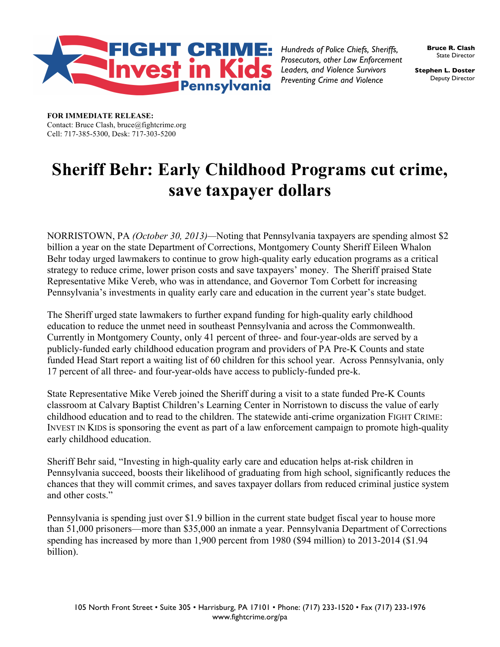

*Hundreds of Police Chiefs, Sheriffs, Prosecutors, other Law Enforcement Leaders, and Violence Survivors Preventing Crime and Violence*

**Bruce R. Clash**  State Director

**Stephen L. Doster** Deputy Director

**FOR IMMEDIATE RELEASE:**  Contact: Bruce Clash, bruce@fightcrime.org Cell: 717-385-5300, Desk: 717-303-5200

## **Sheriff Behr: Early Childhood Programs cut crime, save taxpayer dollars**

NORRISTOWN, PA *(October 30, 2013)—*Noting that Pennsylvania taxpayers are spending almost \$2 billion a year on the state Department of Corrections, Montgomery County Sheriff Eileen Whalon Behr today urged lawmakers to continue to grow high-quality early education programs as a critical strategy to reduce crime, lower prison costs and save taxpayers' money. The Sheriff praised State Representative Mike Vereb, who was in attendance, and Governor Tom Corbett for increasing Pennsylvania's investments in quality early care and education in the current year's state budget.

The Sheriff urged state lawmakers to further expand funding for high-quality early childhood education to reduce the unmet need in southeast Pennsylvania and across the Commonwealth. Currently in Montgomery County, only 41 percent of three- and four-year-olds are served by a publicly-funded early childhood education program and providers of PA Pre-K Counts and state funded Head Start report a waiting list of 60 children for this school year. Across Pennsylvania, only 17 percent of all three- and four-year-olds have access to publicly-funded pre-k.

State Representative Mike Vereb joined the Sheriff during a visit to a state funded Pre-K Counts classroom at Calvary Baptist Children's Learning Center in Norristown to discuss the value of early childhood education and to read to the children. The statewide anti-crime organization FIGHT CRIME: INVEST IN KIDS is sponsoring the event as part of a law enforcement campaign to promote high-quality early childhood education.

Sheriff Behr said, "Investing in high-quality early care and education helps at-risk children in Pennsylvania succeed, boosts their likelihood of graduating from high school, significantly reduces the chances that they will commit crimes, and saves taxpayer dollars from reduced criminal justice system and other costs."

Pennsylvania is spending just over \$1.9 billion in the current state budget fiscal year to house more than 51,000 prisoners—more than \$35,000 an inmate a year. Pennsylvania Department of Corrections spending has increased by more than 1,900 percent from 1980 (\$94 million) to 2013-2014 (\$1.94 billion).